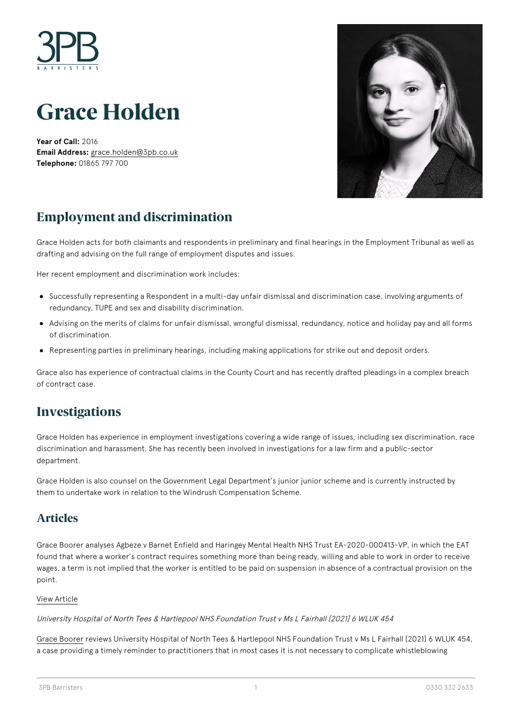

# **Grace Holden**

**Year of Call:** 2016 **Email Address:** [grace.holden@3pb.co.uk](mailto:grace.holden@3pb.co.uk) **Telephone:** 01865 797 700



# **Employment and discrimination**

Grace Holden acts for both claimants and respondents in preliminary and final hearings in the Employment Tribunal as well as drafting and advising on the full range of employment disputes and issues.

Her recent employment and discrimination work includes:

- Successfully representing a Respondent in a multi-day unfair dismissal and discrimination case, involving arguments of redundancy, TUPE and sex and disability discrimination.
- Advising on the merits of claims for unfair dismissal, wrongful dismissal, redundancy, notice and holiday pay and all forms of discrimination.
- Representing parties in preliminary hearings, including making applications for strike out and deposit orders.

Grace also has experience of contractual claims in the County Court and has recently drafted pleadings in a complex breach of contract case.

### **Investigations**

Grace Holden has experience in employment investigations covering a wide range of issues, including sex discrimination, race discrimination and harassment. She has recently been involved in investigations for a law firm and a public-sector department.

Grace Holden is also counsel on the Government Legal Department's junior junior scheme and is currently instructed by them to undertake work in relation to the Windrush Compensation Scheme.

### **Articles**

Grace Boorer analyses Agbeze v Barnet Enfield and Haringey Mental Health NHS Trust EA-2020-000413-VP, in which the EAT found that where a worker's contract requires something more than being ready, willing and able to work in order to receive wages, a term is not implied that the worker is entitled to be paid on suspension in absence of a contractual provision on the point.

#### [View Article](https://www.3pb.co.uk/content/uploads/Can-a-right-to-pay-during-suspension-be-implied-into-the-contract-of-a-bank-worker-where-that-contract-is-silent-by-3PB-Barristers.pdf)

#### University Hospital of North Tees & Hartlepool NHS Foundation Trust v Ms L Fairhall [2021] 6 WLUK 454

[Grace Boorer](https://www.3pb.co.uk/barristers/grace-boorer/) reviews University Hospital of North Tees & Hartlepool NHS Foundation Trust v Ms L Fairhall [2021] 6 WLUK 454, a case providing a timely reminder to practitioners that in most cases it is not necessary to complicate whistleblowing